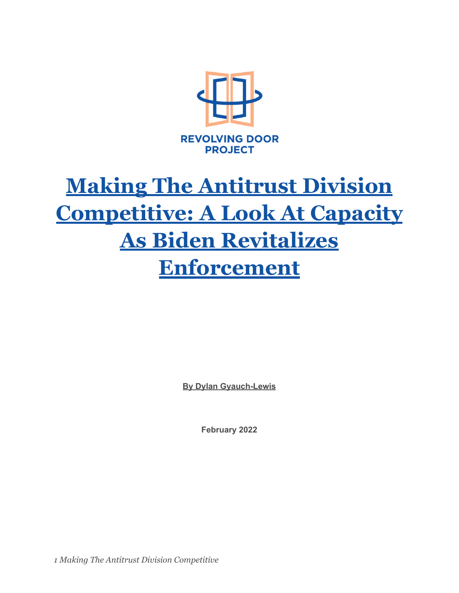

# **Making The Antitrust Division Competitive: A Look At Capacity As Biden Revitalizes Enforcement**

**By Dylan Gyauch-Lewis**

**February 2022**

*1 Making The Antitrust Division Competitive*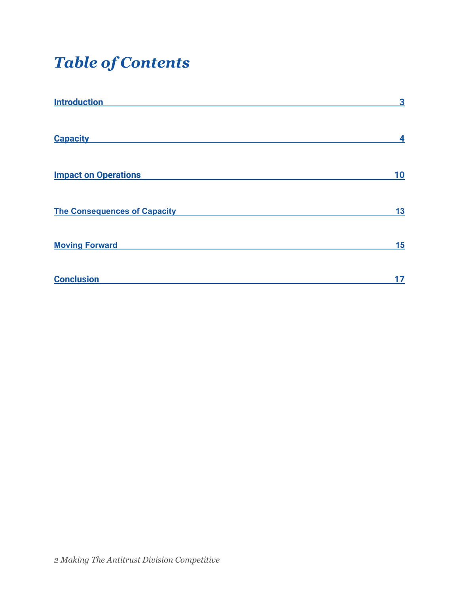# *Table of Contents*

| <b>Introduction</b>                 | 3  |
|-------------------------------------|----|
| <b>Capacity</b>                     | 4  |
| <b>Impact on Operations</b>         | 10 |
| <b>The Consequences of Capacity</b> | 13 |
| <b>Moving Forward</b>               | 15 |
| <b>Conclusion</b>                   | 17 |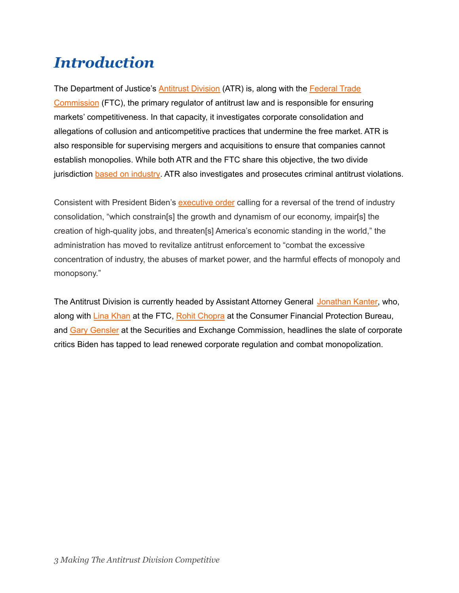### <span id="page-2-0"></span>*Introduction*

The Department of Justice's **[Antitrust](https://www.justice.gov/atr/about-division) Division** (ATR) is, along with the **[Federal](https://www.ftc.gov/about-ftc) Trade** [Commission](https://www.ftc.gov/about-ftc) (FTC), the primary regulator of antitrust law and is responsible for ensuring markets' competitiveness. In that capacity, it investigates corporate consolidation and allegations of collusion and anticompetitive practices that undermine the free market. ATR is also responsible for supervising mergers and acquisitions to ensure that companies cannot establish monopolies. While both ATR and the FTC share this objective, the two divide jurisdiction based on [industry.](https://www.ftc.gov/tips-advice/competition-guidance/guide-antitrust-laws/enforcers) ATR also investigates and prosecutes criminal antitrust violations.

Consistent with President Biden's [executive](https://www.whitehouse.gov/briefing-room/presidential-actions/2021/07/09/executive-order-on-promoting-competition-in-the-american-economy/) order calling for a reversal of the trend of industry consolidation, "which constrain[s] the growth and dynamism of our economy, impair[s] the creation of high-quality jobs, and threaten[s] America's economic standing in the world," the administration has moved to revitalize antitrust enforcement to "combat the excessive concentration of industry, the abuses of market power, and the harmful effects of monopoly and monopsony."

The Antitrust Division is currently headed by Assistant Attorney General [Jonathan](https://www.justice.gov/atr/staff-profile/meet-assistant-attorney-general) Kanter, who, along with Lina [Khan](https://www.ftc.gov/about-ftc/biographies/lina-m-khan) at the FTC, Rohit [Chopra](https://www.consumerfinance.gov/about-us/the-bureau/about-director/) at the Consumer Financial Protection Bureau, and Gary [Gensler](https://www.sec.gov/biography/gary-gensler) at the Securities and Exchange Commission, headlines the slate of corporate critics Biden has tapped to lead renewed corporate regulation and combat monopolization.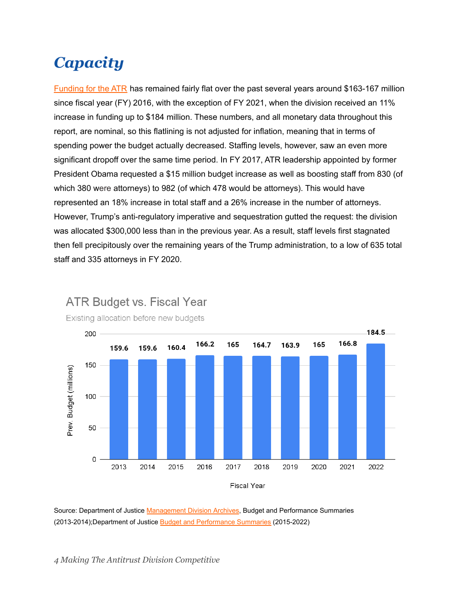# <span id="page-3-0"></span>*Capacity*

[Funding](https://www.justice.gov/doj/budget-and-performance) for the ATR has remained fairly flat over the past several years around \$163-167 million since fiscal year (FY) 2016, with the exception of FY 2021, when the division received an 11% increase in funding up to \$184 million. These numbers, and all monetary data throughout this report, are nominal, so this flatlining is not adjusted for inflation, meaning that in terms of spending power the budget actually decreased. Staffing levels, however, saw an even more significant dropoff over the same time period. In FY 2017, ATR leadership appointed by former President Obama requested a \$15 million budget increase as well as boosting staff from 830 (of which 380 were attorneys) to 982 (of which 478 would be attorneys). This would have represented an 18% increase in total staff and a 26% increase in the number of attorneys. However, Trump's anti-regulatory imperative and sequestration gutted the request: the division was allocated \$300,000 less than in the previous year. As a result, staff levels first stagnated then fell precipitously over the remaining years of the Trump administration, to a low of 635 total staff and 335 attorneys in FY 2020.



**ATR Budget vs. Fiscal Year** Existing allocation before new budgets

**Fiscal Year** 

Source: Department of Justice [Management Division](https://www.justice.gov/archives/jmd/justice-management-division-archive) Archives, Budget and Performance Summaries (2013-2014);Department of Justice [Budget and Performance](https://www.justice.gov/doj/budget-and-performance) Summaries (2015-2022)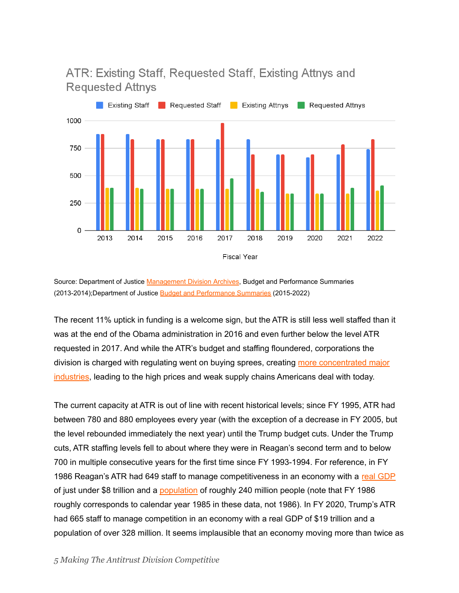#### ATR: Existing Staff, Requested Staff, Existing Attnys and **Requested Attnys**



Source: Department of Justice [Management Division](https://www.justice.gov/archives/jmd/justice-management-division-archive) Archives, Budget and Performance Summaries (2013-2014);Department of Justice [Budget and Performance](https://www.justice.gov/doj/budget-and-performance) Summaries (2015-2022)

The recent 11% uptick in funding is a welcome sign, but the ATR is still less well staffed than it was at the end of the Obama administration in 2016 and even further below the level ATR requested in 2017. And while the ATR's budget and staffing floundered, corporations the division is charged with regulating went on buying sprees, creating more [concentrated](https://www.nytimes.com/2018/06/17/opinion/big-business-mergers.html) major [industries](https://www.nytimes.com/2018/06/17/opinion/big-business-mergers.html), leading to the high prices and weak supply chains Americans deal with today.

The current capacity at ATR is out of line with recent historical levels; since FY 1995, ATR had between 780 and 880 employees every year (with the exception of a decrease in FY 2005, but the level rebounded immediately the next year) until the Trump budget cuts. Under the Trump cuts, ATR staffing levels fell to about where they were in Reagan's second term and to below 700 in multiple consecutive years for the first time since FY 1993-1994. For reference, in FY 1986 Reagan's ATR had 649 staff to manage competitiveness in an economy with a real [GDP](https://fred.stlouisfed.org/series/GDPC1#0) of just under \$8 trillion and a [population](https://data.worldbank.org/indicator/SP.POP.TOTL?locations=US) of roughly 240 million people (note that FY 1986 roughly corresponds to calendar year 1985 in these data, not 1986). In FY 2020, Trump's ATR had 665 staff to manage competition in an economy with a real GDP of \$19 trillion and a population of over 328 million. It seems implausible that an economy moving more than twice as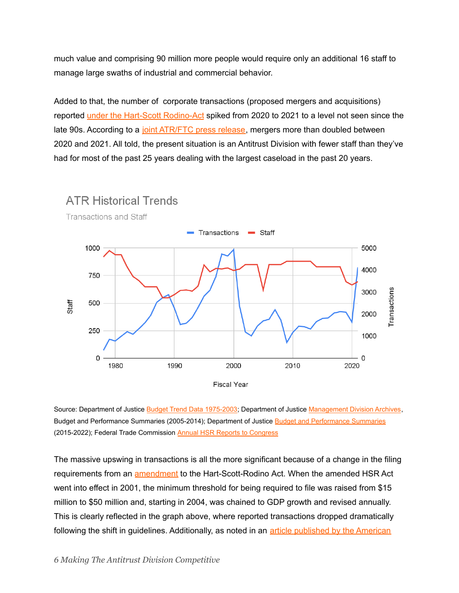much value and comprising 90 million more people would require only an additional 16 staff to manage large swaths of industrial and commercial behavior.

Added to that, the number of corporate transactions (proposed mergers and acquisitions) reported under the Hart-Scott [Rodino-Act](https://www.ftc.gov/enforcement/statutes/hart-scott-rodino-antitrust-improvements-act-1976) spiked from 2020 to 2021 to a level not seen since the late 90s. According to a joint [ATR/FTC](https://www.ftc.gov/news-events/press-releases/2022/01/ftc-and-justice-department-seek-to-strengthen-enforcement-against-illegal-mergers) press release, mergers more than doubled between 2020 and 2021. All told, the present situation is an Antitrust Division with fewer staff than they've had for most of the past 25 years dealing with the largest caseload in the past 20 years.



Source: Department of Justice [Budget Trend Data 1975-2003;](https://www.justice.gov/archive/jmd/1975_2002/btd02tocpg.htm) Department of Justice [Management Division Archives](https://www.justice.gov/archives/jmd/justice-management-division-archive), Budget and Performance Summaries (2005-2014); Department of Justice [Budget and Performance Summaries](https://www.justice.gov/doj/budget-and-performance) (2015-2022); Federal Trade Commission [Annual HSR Reports](https://www.ftc.gov/policy/reports/policy-reports/annual-competition-reports) to Congress

The massive upswing in transactions is all the more significant because of a change in the filing requirements from an [amendment](https://www.law.cornell.edu/uscode/text/15/18a) to the Hart-Scott-Rodino Act. When the amended HSR Act went into effect in 2001, the minimum threshold for being required to file was raised from \$15 million to \$50 million and, starting in 2004, was chained to GDP growth and revised annually. This is clearly reflected in the graph above, where reported transactions dropped dramatically following the shift in guidelines. Additionally, as noted in an article [published](https://www.americanbar.org/content/dam/aba/publishing/antitrust-magazine-online/2020/oct-2020/oct2020-bell-2.pdf) by the American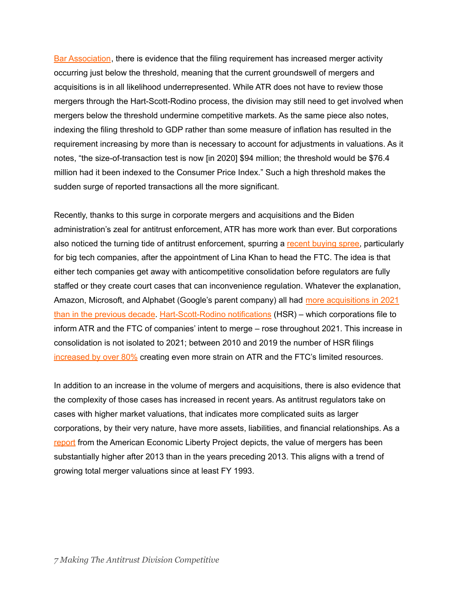Bar [Association](https://www.americanbar.org/content/dam/aba/publishing/antitrust-magazine-online/2020/oct-2020/oct2020-bell-2.pdf), there is evidence that the filing requirement has increased merger activity occurring just below the threshold, meaning that the current groundswell of mergers and acquisitions is in all likelihood underrepresented. While ATR does not have to review those mergers through the Hart-Scott-Rodino process, the division may still need to get involved when mergers below the threshold undermine competitive markets. As the same piece also notes, indexing the filing threshold to GDP rather than some measure of inflation has resulted in the requirement increasing by more than is necessary to account for adjustments in valuations. As it notes, "the size-of-transaction test is now [in 2020] \$94 million; the threshold would be \$76.4 million had it been indexed to the Consumer Price Index." Such a high threshold makes the sudden surge of reported transactions all the more significant.

Recently, thanks to this surge in corporate mergers and acquisitions and the Biden administration's zeal for antitrust enforcement, ATR has more work than ever. But corporations also noticed the turning tide of antitrust enforcement, spurring a recent [buying](https://www.cnbc.com/2022/01/22/amazon-microsoft-alphabet-set-more-deals-in-2021-than-last-10-years.html) spree, particularly for big tech companies, after the appointment of Lina Khan to head the FTC. The idea is that either tech companies get away with anticompetitive consolidation before regulators are fully staffed or they create court cases that can inconvenience regulation. Whatever the explanation, Amazon, Microsoft, and Alphabet (Google's parent company) all had more [acquisitions](https://www.cnbc.com/2022/01/22/amazon-microsoft-alphabet-set-more-deals-in-2021-than-last-10-years.html) in 2021 than in the [previous](https://www.cnbc.com/2022/01/22/amazon-microsoft-alphabet-set-more-deals-in-2021-than-last-10-years.html) decade. [Hart-Scott-Rodino](https://www.ftc.gov/enforcement/premerger-notification-program) notifications (HSR) – which corporations file to inform ATR and the FTC of companies' intent to merge – rose throughout 2021. This increase in consolidation is not isolated to 2021; between 2010 and 2019 the number of HSR filings [increased](https://www.ftc.gov/system/files/documents/reports/federal-trade-commission-bureau-competition-department-justice-antitrust-division-hart-scott-rodino/p110014hsrannualreportfy2019_0.pdf) by over 80% creating even more strain on ATR and the FTC's limited resources.

In addition to an increase in the volume of mergers and acquisitions, there is also evidence that the complexity of those cases has increased in recent years. As antitrust regulators take on cases with higher market valuations, that indicates more complicated suits as larger corporations, by their very nature, have more assets, liabilities, and financial relationships. As a [report](https://www.economicliberties.us/wp-content/uploads/2021/01/Courage-to-Learn_12.12.pdf) from the American Economic Liberty Project depicts, the value of mergers has been substantially higher after 2013 than in the years preceding 2013. This aligns with a trend of growing total merger valuations since at least FY 1993.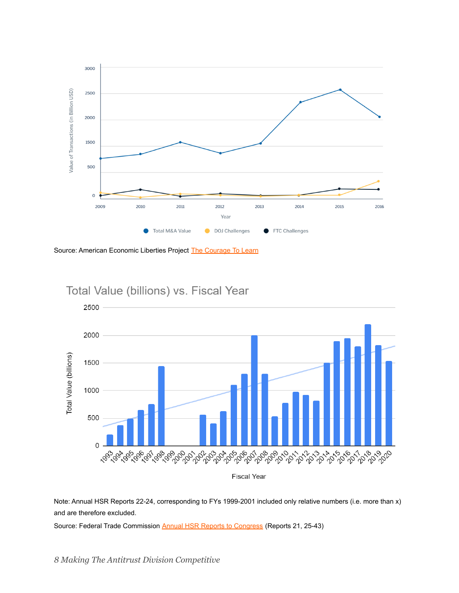

Source: American Economic Liberties Project [The Courage](https://www.economicliberties.us/our-work/courage-to-learn/) To Learn



Note: Annual HSR Reports 22-24, corresponding to FYs 1999-2001 included only relative numbers (i.e. more than x) and are therefore excluded.

Source: Federal Trade Commission [Annual HSR Reports](https://www.ftc.gov/policy/reports/policy-reports/annual-competition-reports) to Congress (Reports 21, 25-43)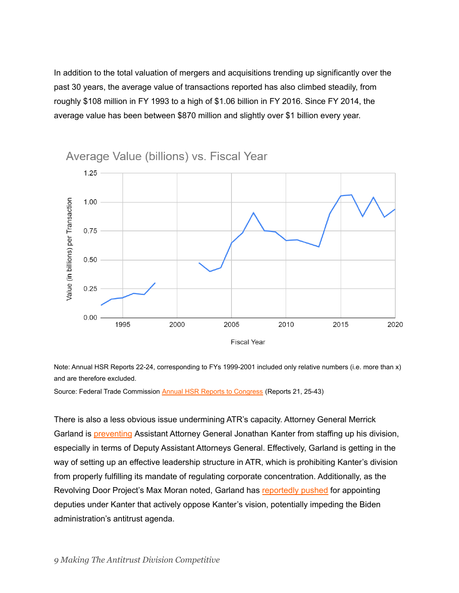In addition to the total valuation of mergers and acquisitions trending up significantly over the past 30 years, the average value of transactions reported has also climbed steadily, from roughly \$108 million in FY 1993 to a high of \$1.06 billion in FY 2016. Since FY 2014, the average value has been between \$870 million and slightly over \$1 billion every year.



Average Value (billions) vs. Fiscal Year

Note: Annual HSR Reports 22-24, corresponding to FYs 1999-2001 included only relative numbers (i.e. more than x) and are therefore excluded.

Source: Federal Trade Commission [Annual HSR Reports](https://www.ftc.gov/policy/reports/policy-reports/annual-competition-reports) to Congress (Reports 21, 25-43)

There is also a less obvious issue undermining ATR's capacity. Attorney General Merrick Garland is [preventing](https://prospect.org/justice/merrick-garland-is-undermining-biden-antitrust-strategy/) Assistant Attorney General Jonathan Kanter from staffing up his division, especially in terms of Deputy Assistant Attorneys General. Effectively, Garland is getting in the way of setting up an effective leadership structure in ATR, which is prohibiting Kanter's division from properly fulfilling its mandate of regulating corporate concentration. Additionally, as the Revolving Door Project's Max Moran noted, Garland has [reportedly](https://prospect.org/justice/merrick-garland-is-undermining-biden-antitrust-strategy/) pushed for appointing deputies under Kanter that actively oppose Kanter's vision, potentially impeding the Biden administration's antitrust agenda.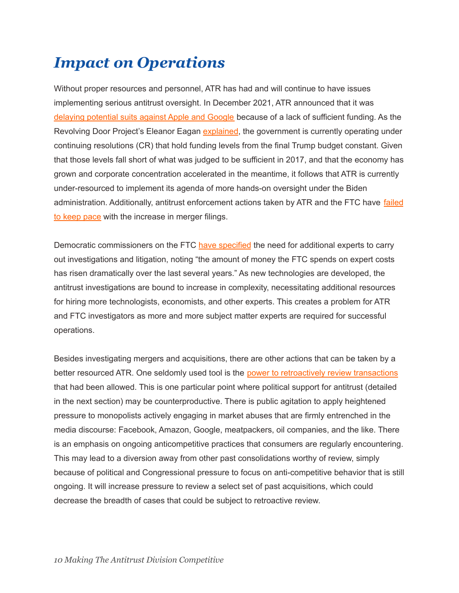# <span id="page-9-0"></span>*Impact on Operations*

Without proper resources and personnel, ATR has had and will continue to have issues implementing serious antitrust oversight. In December 2021, ATR announced that it was delaying [potential](https://www.politico.com/news/2021/12/23/apple-google-doj-delay-526072) suits against Apple and Google because of a lack of sufficient funding. As the Revolving Door Project's Eleanor Eagan [explained](https://prospect.org/economy/government-is-still-operating-under-trumps-budget/), the government is currently operating under continuing resolutions (CR) that hold funding levels from the final Trump budget constant. Given that those levels fall short of what was judged to be sufficient in 2017, and that the economy has grown and corporate concentration accelerated in the meantime, it follows that ATR is currently under-resourced to implement its agenda of more hands-on oversight under the Biden administration. Additionally, antitrust enforcement actions taken by ATR and the FTC have [failed](https://equitablegrowth.org/wp-content/uploads/2020/11/111920-antitrust-report.pdf) to keep [pace](https://equitablegrowth.org/wp-content/uploads/2020/11/111920-antitrust-report.pdf) with the increase in merger filings.

Democratic commissioners on the FTC have [specified](https://www.ftc.gov/system/files/documents/public_statements/1587163/p859910_concurring_statement_of_ac_slaughter_and_c_chopra_re_revised_hsr_thresholds.pdf) the need for additional experts to carry out investigations and litigation, noting "the amount of money the FTC spends on expert costs has risen dramatically over the last several years." As new technologies are developed, the antitrust investigations are bound to increase in complexity, necessitating additional resources for hiring more technologists, economists, and other experts. This creates a problem for ATR and FTC investigators as more and more subject matter experts are required for successful operations.

Besides investigating mergers and acquisitions, there are other actions that can be taken by a better resourced ATR. One seldomly used tool is the power to [retroactively](https://www.ftc.gov/policy/studies/merger-retrospectives) review transactions that had been allowed. This is one particular point where political support for antitrust (detailed in the next section) may be counterproductive. There is public agitation to apply heightened pressure to monopolists actively engaging in market abuses that are firmly entrenched in the media discourse: Facebook, Amazon, Google, meatpackers, oil companies, and the like. There is an emphasis on ongoing anticompetitive practices that consumers are regularly encountering. This may lead to a diversion away from other past consolidations worthy of review, simply because of political and Congressional pressure to focus on anti-competitive behavior that is still ongoing. It will increase pressure to review a select set of past acquisitions, which could decrease the breadth of cases that could be subject to retroactive review.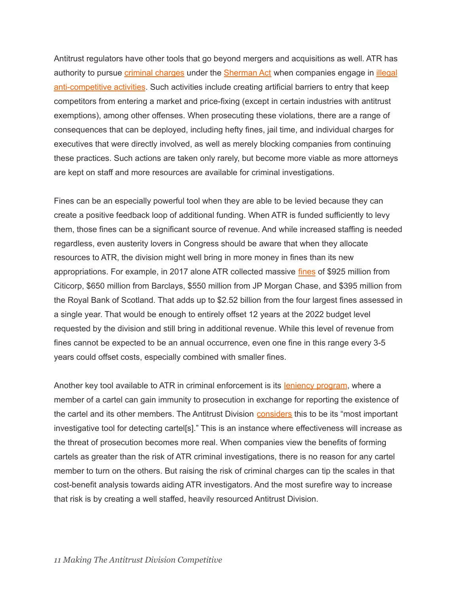Antitrust regulators have other tools that go beyond mergers and acquisitions as well. ATR has authority to pursue *criminal [charges](https://equitablegrowth.org/research-paper/the-state-of-u-s-federal-antitrust-enforcement/?longform=true)* under the **[Sherman](https://www.ourdocuments.gov/doc.php?flash=false&doc=51) Act** when companies engage in *[illegal](https://www.justice.gov/atr/antitrust-laws-and-you)* [anti-competitive](https://www.justice.gov/atr/antitrust-laws-and-you) activities. Such activities include creating artificial barriers to entry that keep competitors from entering a market and price-fixing (except in certain industries with antitrust exemptions), among other offenses. When prosecuting these violations, there are a range of consequences that can be deployed, including hefty fines, jail time, and individual charges for executives that were directly involved, as well as merely blocking companies from continuing these practices. Such actions are taken only rarely, but become more viable as more attorneys are kept on staff and more resources are available for criminal investigations.

Fines can be an especially powerful tool when they are able to be levied because they can create a positive feedback loop of additional funding. When ATR is funded sufficiently to levy them, those fines can be a significant source of revenue. And while increased staffing is needed regardless, even austerity lovers in Congress should be aware that when they allocate resources to ATR, the division might well bring in more money in fines than its new appropriations. For example, in 2017 alone ATR collected massive [fines](https://www.justice.gov/atr/sherman-act-violations-yielding-corporate-fine-10-million-or-more) of \$925 million from Citicorp, \$650 million from Barclays, \$550 million from JP Morgan Chase, and \$395 million from the Royal Bank of Scotland. That adds up to \$2.52 billion from the four largest fines assessed in a single year. That would be enough to entirely offset 12 years at the 2022 budget level requested by the division and still bring in additional revenue. While this level of revenue from fines cannot be expected to be an annual occurrence, even one fine in this range every 3-5 years could offset costs, especially combined with smaller fines.

Another key tool available to ATR in criminal enforcement is its leniency [program](https://www.justice.gov/atr/leniency-program), where a member of a cartel can gain immunity to prosecution in exchange for reporting the existence of the cartel and its other members. The Antitrust Division [considers](https://www.justice.gov/atr/leniency-program) this to be its "most important" investigative tool for detecting cartel[s]." This is an instance where effectiveness will increase as the threat of prosecution becomes more real. When companies view the benefits of forming cartels as greater than the risk of ATR criminal investigations, there is no reason for any cartel member to turn on the others. But raising the risk of criminal charges can tip the scales in that cost-benefit analysis towards aiding ATR investigators. And the most surefire way to increase that risk is by creating a well staffed, heavily resourced Antitrust Division.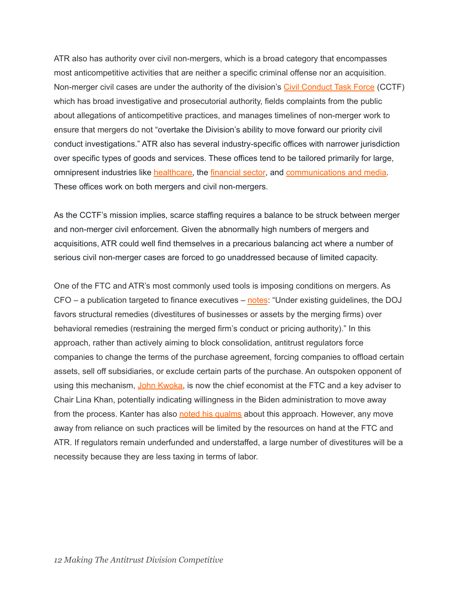ATR also has authority over civil non-mergers, which is a broad category that encompasses most anticompetitive activities that are neither a specific criminal offense nor an acquisition. Non-merger civil cases are under the authority of the division's Civil [Conduct](https://www.justice.gov/atr/civil-conduct-task-force) Task Force (CCTF) which has broad investigative and prosecutorial authority, fields complaints from the public about allegations of anticompetitive practices, and manages timelines of non-merger work to ensure that mergers do not "overtake the Division's ability to move forward our priority civil conduct investigations." ATR also has several industry-specific offices with narrower jurisdiction over specific types of goods and services. These offices tend to be tailored primarily for large, omnipresent industries like [healthcare,](https://www.justice.gov/atr/about-division/hcp-section) the [financial](https://www.justice.gov/atr/about-division/ffb-section) sector, and [communications](https://www.justice.gov/atr/about-division/mec-section) and media. These offices work on both mergers and civil non-mergers.

As the CCTF's mission implies, scarce staffing requires a balance to be struck between merger and non-merger civil enforcement. Given the abnormally high numbers of mergers and acquisitions, ATR could well find themselves in a precarious balancing act where a number of serious civil non-merger cases are forced to go unaddressed because of limited capacity.

One of the FTC and ATR's most commonly used tools is imposing conditions on mergers. As CFO – a publication targeted to finance executives – [notes](https://www.cfo.com/risk-compliance/legal/2022/02/legal-antitrust-enforcement-mergers-doj-kanter-remedies/): "Under existing guidelines, the DOJ favors structural remedies (divestitures of businesses or assets by the merging firms) over behavioral remedies (restraining the merged firm's conduct or pricing authority)." In this approach, rather than actively aiming to block consolidation, antitrust regulators force companies to change the terms of the purchase agreement, forcing companies to offload certain assets, sell off subsidiaries, or exclude certain parts of the purchase. An outspoken opponent of using this mechanism, John [Kwoka,](https://equitablegrowth.org/people/john-kwoka/) is now the chief economist at the FTC and a key adviser to Chair Lina Khan, potentially indicating willingness in the Biden administration to move away from the process. Kanter has also noted his [qualms](https://www.cfo.com/risk-compliance/legal/2022/02/legal-antitrust-enforcement-mergers-doj-kanter-remedies/) about this approach. However, any move away from reliance on such practices will be limited by the resources on hand at the FTC and ATR. If regulators remain underfunded and understaffed, a large number of divestitures will be a necessity because they are less taxing in terms of labor.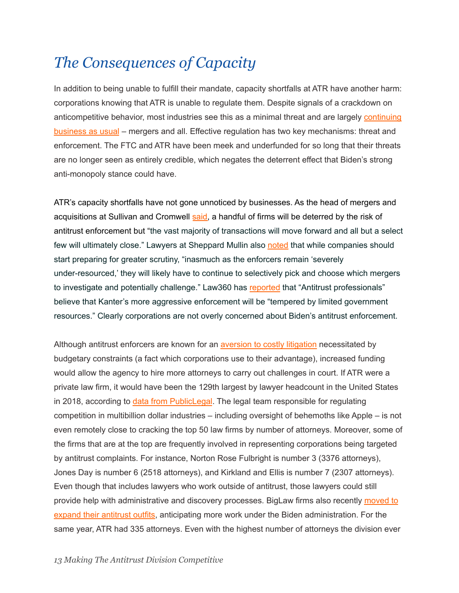## <span id="page-12-0"></span>*The Consequences of Capacity*

In addition to being unable to fulfill their mandate, capacity shortfalls at ATR have another harm: corporations knowing that ATR is unable to regulate them. Despite signals of a crackdown on anticompetitive behavior, most industries see this as a minimal threat and are largely [continuing](https://www.barrons.com/articles/mergers-booming-us-regulators-crackdown-51642534456?tesla=y) [business](https://www.barrons.com/articles/mergers-booming-us-regulators-crackdown-51642534456?tesla=y) as usual – mergers and all. Effective regulation has two key mechanisms: threat and enforcement. The FTC and ATR have been meek and underfunded for so long that their threats are no longer seen as entirely credible, which negates the deterrent effect that Biden's strong anti-monopoly stance could have.

ATR's capacity shortfalls have not gone unnoticed by businesses. As the head of mergers and acquisitions at Sullivan and Cromwell [said,](https://www.barrons.com/articles/mergers-booming-us-regulators-crackdown-51642534456?tesla=y) a handful of firms will be deterred by the risk of antitrust enforcement but "the vast majority of transactions will move forward and all but a select few will ultimately close." Lawyers at Sheppard Mullin also [noted](https://www.antitrustlawblog.com/2022/02/articles/government-merger-and-civil-conduct-investigations/looking-ahead-to-tougher-merger-guidelines-and-enforcement/) that while companies should start preparing for greater scrutiny, "inasmuch as the enforcers remain 'severely under-resourced,' they will likely have to continue to selectively pick and choose which mergers to investigate and potentially challenge." Law360 has [reported](https://www.law360.com/articles/1458660/limited-resources-will-test-doj-preference-for-merger-suits) that "Antitrust professionals" believe that Kanter's more aggressive enforcement will be "tempered by limited government resources." Clearly corporations are not overly concerned about Biden's antitrust enforcement.

Although antitrust enforcers are known for an [aversion](https://theintercept.com/2015/12/16/why-are-drug-monopolies-running-amok-meet-deborah-feinstein/) to costly litigation necessitated by budgetary constraints (a fact which corporations use to their advantage), increased funding would allow the agency to hire more attorneys to carry out challenges in court. If ATR were a private law firm, it would have been the 129th largest by lawyer headcount in the United States in 2018, according to data from [PublicLegal](https://www.ilrg.com/nlj250?). The legal team responsible for regulating competition in multibillion dollar industries – including oversight of behemoths like Apple – is not even remotely close to cracking the top 50 law firms by number of attorneys. Moreover, some of the firms that are at the top are frequently involved in representing corporations being targeted by antitrust complaints. For instance, Norton Rose Fulbright is number 3 (3376 attorneys), Jones Day is number 6 (2518 attorneys), and Kirkland and Ellis is number 7 (2307 attorneys). Even though that includes lawyers who work outside of antitrust, those lawyers could still provide help with administrative and discovery processes. BigLaw firms also recently [moved](https://news.bloomberglaw.com/business-and-practice/big-is-bad-antitrust-explosion-propels-cadre-of-top-law-firms) to expand their [antitrust](https://news.bloomberglaw.com/business-and-practice/big-is-bad-antitrust-explosion-propels-cadre-of-top-law-firms) outfits, anticipating more work under the Biden administration. For the same year, ATR had 335 attorneys. Even with the highest number of attorneys the division ever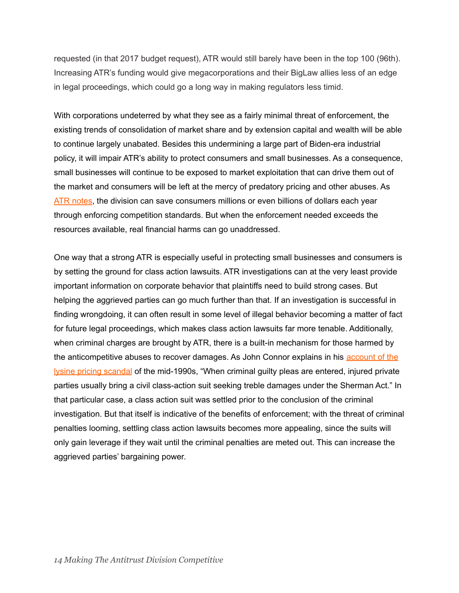requested (in that 2017 budget request), ATR would still barely have been in the top 100 (96th). Increasing ATR's funding would give megacorporations and their BigLaw allies less of an edge in legal proceedings, which could go a long way in making regulators less timid.

With corporations undeterred by what they see as a fairly minimal threat of enforcement, the existing trends of consolidation of market share and by extension capital and wealth will be able to continue largely unabated. Besides this undermining a large part of Biden-era industrial policy, it will impair ATR's ability to protect consumers and small businesses. As a consequence, small businesses will continue to be exposed to market exploitation that can drive them out of the market and consumers will be left at the mercy of predatory pricing and other abuses. As ATR [notes](https://www.justice.gov/atr/antitrust-laws-and-you), the division can save consumers millions or even billions of dollars each year through enforcing competition standards. But when the enforcement needed exceeds the resources available, real financial harms can go unaddressed.

One way that a strong ATR is especially useful in protecting small businesses and consumers is by setting the ground for class action lawsuits. ATR investigations can at the very least provide important information on corporate behavior that plaintiffs need to build strong cases. But helping the aggrieved parties can go much further than that. If an investigation is successful in finding wrongdoing, it can often result in some level of illegal behavior becoming a matter of fact for future legal proceedings, which makes class action lawsuits far more tenable. Additionally, when criminal charges are brought by ATR, there is a built-in mechanism for those harmed by the anticompetitive abuses to recover damages. As John Connor explains in his [account](https://www.jstor.org/stable/1349749) of the lysine pricing [scandal](https://www.jstor.org/stable/1349749) of the mid-1990s, "When criminal guilty pleas are entered, injured private parties usually bring a civil class-action suit seeking treble damages under the Sherman Act." In that particular case, a class action suit was settled prior to the conclusion of the criminal investigation. But that itself is indicative of the benefits of enforcement; with the threat of criminal penalties looming, settling class action lawsuits becomes more appealing, since the suits will only gain leverage if they wait until the criminal penalties are meted out. This can increase the aggrieved parties' bargaining power.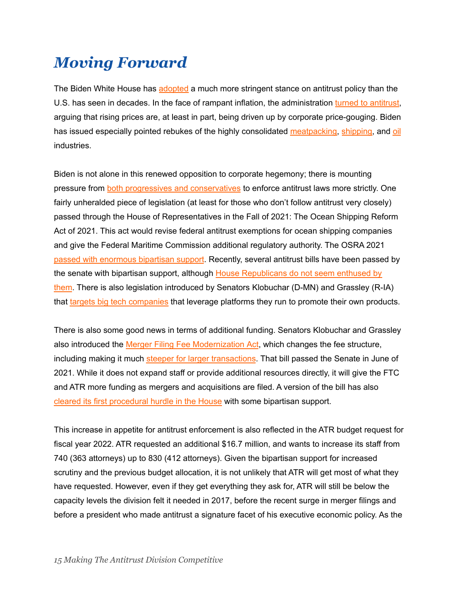### <span id="page-14-0"></span>*Moving Forward*

The Biden White House has [adopted](https://www.whitehouse.gov/briefing-room/presidential-actions/2021/07/09/executive-order-on-promoting-competition-in-the-american-economy/) a much more stringent stance on antitrust policy than the U.S. has seen in decades. In the face of rampant inflation, the administration turned to [antitrust,](https://www.nytimes.com/2021/12/25/business/biden-inflation.html) arguing that rising prices are, at least in part, being driven up by corporate price-gouging. Biden has issued especially pointed rebukes of the highly consolidated [meatpacking,](https://www.whitehouse.gov/briefing-room/statements-releases/2022/01/03/fact-sheet-the-biden-harris-action-plan-for-a-fairer-more-competitive-and-more-resilient-meat-and-poultry-supply-chain/#:~:text=The%20Biden%2DHarris%20Administration%20will%20strengthen%20the%20rules%20that%20protect,by%20the%20meatpackers%20and%20processors.) [shipping,](https://www.whitehouse.gov/briefing-room/presidential-actions/2021/02/24/executive-order-on-americas-supply-chains/) and [oil](https://www.politico.com/news/2021/11/17/biden-ftc-investigate-oil-gas-companies-522804) industries.

Biden is not alone in this renewed opposition to corporate hegemony; there is mounting pressure from both progressives and [conservatives](https://www.cnbc.com/2021/06/24/-big-tech-antitrust-debate-odd-alliances-form-and-party-fractures-show.html) to enforce antitrust laws more strictly. One fairly unheralded piece of legislation (at least for those who don't follow antitrust very closely) passed through the House of Representatives in the Fall of 2021: The Ocean Shipping Reform Act of 2021. This act would revise federal antitrust exemptions for ocean shipping companies and give the Federal Maritime Commission additional regulatory authority. The OSRA 2021 passed with [enormous](https://prospect.org/economy/inflation-fighting-bill-you-dont-know-about/) bipartisan support. Recently, several antitrust bills have been passed by the senate with bipartisan support, although House [Republicans](https://www.vice.com/en/article/4av4yb/the-gop-response-to-a-suite-of-major-antritrust-bills-is-unhinged) do not seem enthused by [them](https://www.vice.com/en/article/4av4yb/the-gop-response-to-a-suite-of-major-antritrust-bills-is-unhinged). There is also legislation introduced by Senators Klobuchar (D-MN) and Grassley (R-IA) that targets big tech [companies](https://techcrunch.com/2022/01/20/tech-antitrust-self-preferencing-bill-american-innovation-and-choice-online-act/?guccounter=1&guce_referrer=aHR0cHM6Ly93d3cuZ29vZ2xlLmNvbS8&guce_referrer_sig=AQAAAGr3XMol972ZOwJziM90j7RTaUrS7TccC5w_Vy1jexSvLNVtZ16hFPX2yG3b4Mjs5Kx7VOK14lKM2MbiVJANuznu9oeRJNsOY_IWMlAxZni1B-38U8nCU93n2jwe4ZHTWeUoSKyU3SjRRWOUxfFHoeMVeGkSX9Z6SYHu0TfBk_RT) that leverage platforms they run to promote their own products.

There is also some good news in terms of additional funding. Senators Klobuchar and Grassley also introduced the Merger Filing Fee [Modernization](https://www.klobuchar.senate.gov/public/index.cfm/2021/6/klobuchar-grassley-bill-to-provide-antitrust-enforcers-additional-resources-passes-senate) Act, which changes the fee structure, including making it much steeper for larger [transactions](https://www.antitrustalert.com/2021/06/senate-passes-bill-to-substantially-increase-hsr-merger-filing-fees-for-deals-greater-than-5-billion/). That bill passed the Senate in June of 2021. While it does not expand staff or provide additional resources directly, it will give the FTC and ATR more funding as mergers and acquisitions are filed. A version of the bill has also cleared its first [procedural](https://time.com/6116953/antitrust-reform-big-tech-congress-biden/) hurdle in the House with some bipartisan support.

This increase in appetite for antitrust enforcement is also reflected in the ATR budget request for fiscal year 2022. ATR requested an additional \$16.7 million, and wants to increase its staff from 740 (363 attorneys) up to 830 (412 attorneys). Given the bipartisan support for increased scrutiny and the previous budget allocation, it is not unlikely that ATR will get most of what they have requested. However, even if they get everything they ask for, ATR will still be below the capacity levels the division felt it needed in 2017, before the recent surge in merger filings and before a president who made antitrust a signature facet of his executive economic policy. As the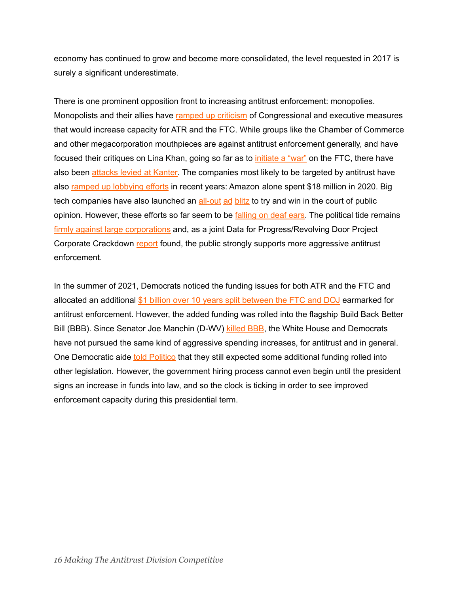economy has continued to grow and become more consolidated, the level requested in 2017 is surely a significant underestimate.

There is one prominent opposition front to increasing antitrust enforcement: monopolies. Monopolists and their allies have ramped up [criticism](https://mattstoller.substack.com/p/big-tech-tries-to-defund-the-police) of Congressional and executive measures that would increase capacity for ATR and the FTC. While groups like the Chamber of Commerce and other megacorporation mouthpieces are against antitrust enforcement generally, and have focused their critiques on Lina Khan, going so far as to *[initiate](https://www.wsj.com/articles/ftc-khan-us-chamber-11637288699) a "war"* on the FTC, there have also been [attacks](https://newrepublic.com/article/163496/lina-khan-jonathan-kanter-monopoly) levied at Kanter. The companies most likely to be targeted by antitrust have also ramped up [lobbying](https://www.washingtonpost.com/technology/2022/01/17/big-tech-oversight-project-antitrust/) efforts in recent years: Amazon alone spent \$18 million in 2020. Big tech companies have also launched an [all-out](https://www.washingtonpost.com/politics/2022/01/10/meet-tech-trade-group-outspending-trump-facebook-ads/) [ad](https://www.bloomberg.com/news/articles/2021-12-03/big-tech-and-antitrust-champions-vie-over-small-business-claims) [blitz](https://www.wsj.com/articles/big-tech-and-foes-spar-over-bill-to-curb-market-power-of-dominant-internet-platforms-11642586401) to try and win in the court of public opinion. However, these efforts so far seem to be [falling](https://www.axios.com/big-tech-ceos-lobby-antitrust-bill-8e300451-8997-4e3e-8ae0-700d13708091.html) on deaf ears. The political tide remains firmly against large [corporations](https://mattstoller.substack.com/p/big-tech-tries-to-defund-the-police) and, as a joint Data for Progress/Revolving Door Project Corporate Crackdown [report](https://www.filesforprogress.org/datasets/2021/11/dfp_corporate_crackdown_project.pdf) found, the public strongly supports more aggressive antitrust enforcement.

In the summer of 2021, Democrats noticed the funding issues for both ATR and the FTC and allocated an additional \$1 billion over 10 years split [between](https://www.politico.com/newsletters/morning-tech/2021/12/20/bidens-big-bill-is-dead-what-tech-provisions-might-live-on-799572) the FTC and DOJ earmarked for antitrust enforcement. However, the added funding was rolled into the flagship Build Back Better Bill (BBB). Since Senator Joe Manchin (D-WV) [killed](https://www.businessinsider.com/joe-manchin-kills-biden-social-spending-bill-build-back-better-2021-12) BBB, the White House and Democrats have not pursued the same kind of aggressive spending increases, for antitrust and in general. One Democratic aide told [Politico](https://www.politico.com/newsletters/morning-tech/2021/12/20/bidens-big-bill-is-dead-what-tech-provisions-might-live-on-799572) that they still expected some additional funding rolled into other legislation. However, the government hiring process cannot even begin until the president signs an increase in funds into law, and so the clock is ticking in order to see improved enforcement capacity during this presidential term.